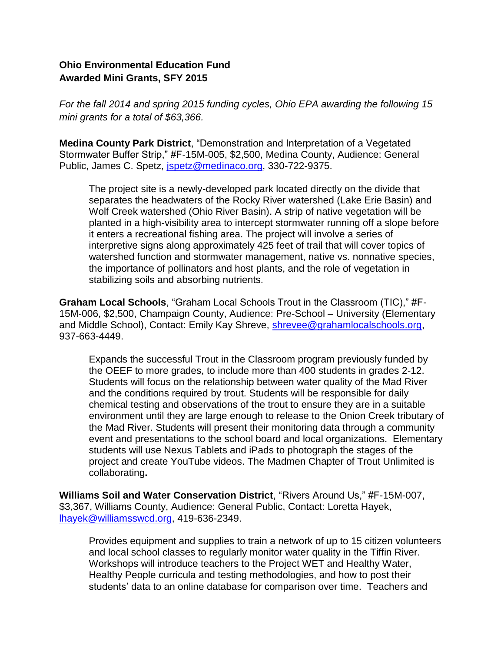## **Ohio Environmental Education Fund Awarded Mini Grants, SFY 2015**

*For the fall 2014 and spring 2015 funding cycles, Ohio EPA awarding the following 15 mini grants for a total of \$63,366.* 

**Medina County Park District**, "Demonstration and Interpretation of a Vegetated Stormwater Buffer Strip," #F-15M-005, \$2,500, Medina County, Audience: General Public, James C. Spetz, [jspetz@medinaco.org,](mailto:jspetz@medinaco.org) 330-722-9375.

The project site is a newly-developed park located directly on the divide that separates the headwaters of the Rocky River watershed (Lake Erie Basin) and Wolf Creek watershed (Ohio River Basin). A strip of native vegetation will be planted in a high-visibility area to intercept stormwater running off a slope before it enters a recreational fishing area. The project will involve a series of interpretive signs along approximately 425 feet of trail that will cover topics of watershed function and stormwater management, native vs. nonnative species, the importance of pollinators and host plants, and the role of vegetation in stabilizing soils and absorbing nutrients.

**Graham Local Schools**, "Graham Local Schools Trout in the Classroom (TIC)," #F-15M-006, \$2,500, Champaign County, Audience: Pre-School – University (Elementary and Middle School), Contact: Emily Kay Shreve, [shrevee@grahamlocalschools.org,](mailto:shrevee@grahamlocalschools.org) 937-663-4449.

Expands the successful Trout in the Classroom program previously funded by the OEEF to more grades, to include more than 400 students in grades 2-12. Students will focus on the relationship between water quality of the Mad River and the conditions required by trout. Students will be responsible for daily chemical testing and observations of the trout to ensure they are in a suitable environment until they are large enough to release to the Onion Creek tributary of the Mad River. Students will present their monitoring data through a community event and presentations to the school board and local organizations. Elementary students will use Nexus Tablets and iPads to photograph the stages of the project and create YouTube videos. The Madmen Chapter of Trout Unlimited is collaborating**.** 

**Williams Soil and Water Conservation District**, "Rivers Around Us," #F-15M-007, \$3,367, Williams County, Audience: General Public, Contact: Loretta Hayek, [lhayek@williamsswcd.org,](mailto:lhayek@williamsswcd.org) 419-636-2349.

Provides equipment and supplies to train a network of up to 15 citizen volunteers and local school classes to regularly monitor water quality in the Tiffin River. Workshops will introduce teachers to the Project WET and Healthy Water, Healthy People curricula and testing methodologies, and how to post their students' data to an online database for comparison over time. Teachers and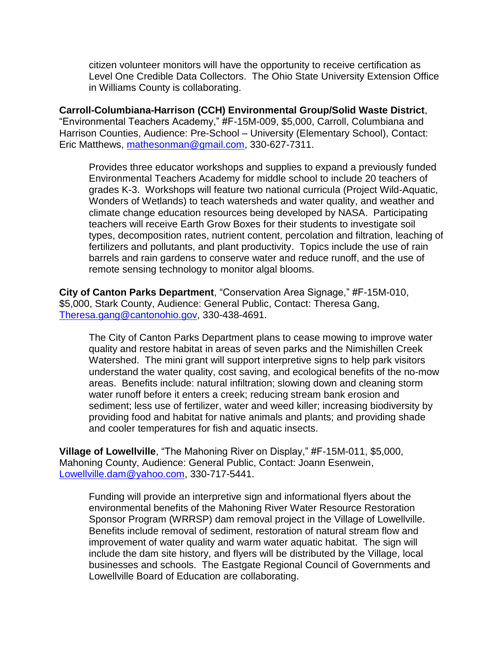citizen volunteer monitors will have the opportunity to receive certification as Level One Credible Data Collectors. The Ohio State University Extension Office in Williams County is collaborating.

**Carroll-Columbiana-Harrison (CCH) Environmental Group/Solid Waste District**, "Environmental Teachers Academy," #F-15M-009, \$5,000, Carroll, Columbiana and Harrison Counties, Audience: Pre-School – University (Elementary School), Contact: Eric Matthews, [mathesonman@gmail.com,](mailto:mathesonman@gmail.com) 330-627-7311.

Provides three educator workshops and supplies to expand a previously funded Environmental Teachers Academy for middle school to include 20 teachers of grades K-3. Workshops will feature two national curricula (Project Wild-Aquatic, Wonders of Wetlands) to teach watersheds and water quality, and weather and climate change education resources being developed by NASA. Participating teachers will receive Earth Grow Boxes for their students to investigate soil types, decomposition rates, nutrient content, percolation and filtration, leaching of fertilizers and pollutants, and plant productivity. Topics include the use of rain barrels and rain gardens to conserve water and reduce runoff, and the use of remote sensing technology to monitor algal blooms.

**City of Canton Parks Department**, "Conservation Area Signage," #F-15M-010, \$5,000, Stark County, Audience: General Public, Contact: Theresa Gang, [Theresa.gang@cantonohio.gov,](mailto:Theresa.gang@cantonohio.gov) 330-438-4691.

The City of Canton Parks Department plans to cease mowing to improve water quality and restore habitat in areas of seven parks and the Nimishillen Creek Watershed. The mini grant will support interpretive signs to help park visitors understand the water quality, cost saving, and ecological benefits of the no-mow areas. Benefits include: natural infiltration; slowing down and cleaning storm water runoff before it enters a creek; reducing stream bank erosion and sediment; less use of fertilizer, water and weed killer; increasing biodiversity by providing food and habitat for native animals and plants; and providing shade and cooler temperatures for fish and aquatic insects.

**Village of Lowellville**, "The Mahoning River on Display," #F-15M-011, \$5,000, Mahoning County, Audience: General Public, Contact: Joann Esenwein, [Lowellville.dam@yahoo.com,](mailto:Lowellville.dam@yahoo.com) 330-717-5441.

Funding will provide an interpretive sign and informational flyers about the environmental benefits of the Mahoning River Water Resource Restoration Sponsor Program (WRRSP) dam removal project in the Village of Lowellville. Benefits include removal of sediment, restoration of natural stream flow and improvement of water quality and warm water aquatic habitat. The sign will include the dam site history, and flyers will be distributed by the Village, local businesses and schools. The Eastgate Regional Council of Governments and Lowellville Board of Education are collaborating.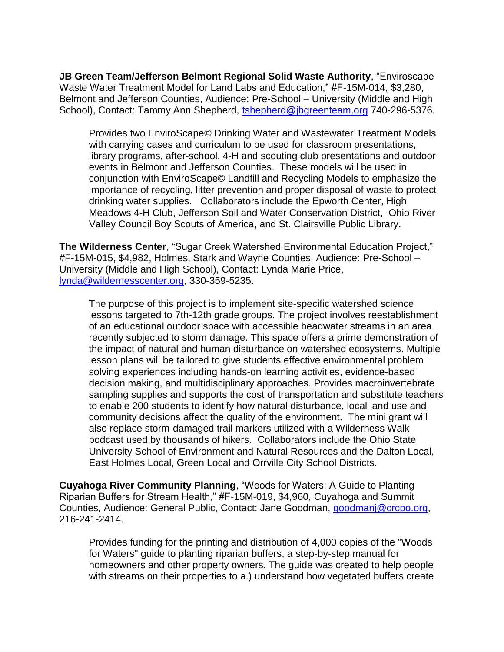**JB Green Team/Jefferson Belmont Regional Solid Waste Authority**, "Enviroscape Waste Water Treatment Model for Land Labs and Education," #F-15M-014, \$3,280, Belmont and Jefferson Counties, Audience: Pre-School – University (Middle and High School), Contact: Tammy Ann Shepherd, [tshepherd@jbgreenteam.org](mailto:tshepherd@jbgreenteam.org) 740-296-5376.

Provides two EnviroScape© Drinking Water and Wastewater Treatment Models with carrying cases and curriculum to be used for classroom presentations, library programs, after-school, 4-H and scouting club presentations and outdoor events in Belmont and Jefferson Counties. These models will be used in conjunction with EnviroScape© Landfill and Recycling Models to emphasize the importance of recycling, litter prevention and proper disposal of waste to protect drinking water supplies. Collaborators include the Epworth Center, High Meadows 4-H Club, Jefferson Soil and Water Conservation District, Ohio River Valley Council Boy Scouts of America, and St. Clairsville Public Library.

**The Wilderness Center**, "Sugar Creek Watershed Environmental Education Project," #F-15M-015, \$4,982, Holmes, Stark and Wayne Counties, Audience: Pre-School – University (Middle and High School), Contact: Lynda Marie Price, [lynda@wildernesscenter.org,](mailto:lynda@wildernesscenter.org) 330-359-5235.

The purpose of this project is to implement site-specific watershed science lessons targeted to 7th-12th grade groups. The project involves reestablishment of an educational outdoor space with accessible headwater streams in an area recently subjected to storm damage. This space offers a prime demonstration of the impact of natural and human disturbance on watershed ecosystems. Multiple lesson plans will be tailored to give students effective environmental problem solving experiences including hands-on learning activities, evidence-based decision making, and multidisciplinary approaches. Provides macroinvertebrate sampling supplies and supports the cost of transportation and substitute teachers to enable 200 students to identify how natural disturbance, local land use and community decisions affect the quality of the environment. The mini grant will also replace storm-damaged trail markers utilized with a Wilderness Walk podcast used by thousands of hikers. Collaborators include the Ohio State University School of Environment and Natural Resources and the Dalton Local, East Holmes Local, Green Local and Orrville City School Districts.

**Cuyahoga River Community Planning**, "Woods for Waters: A Guide to Planting Riparian Buffers for Stream Health," #F-15M-019, \$4,960, Cuyahoga and Summit Counties, Audience: General Public, Contact: Jane Goodman, [goodmanj@crcpo.org,](mailto:goodmanj@crcpo.org) 216-241-2414.

Provides funding for the printing and distribution of 4,000 copies of the "Woods for Waters" guide to planting riparian buffers, a step-by-step manual for homeowners and other property owners. The guide was created to help people with streams on their properties to a.) understand how vegetated buffers create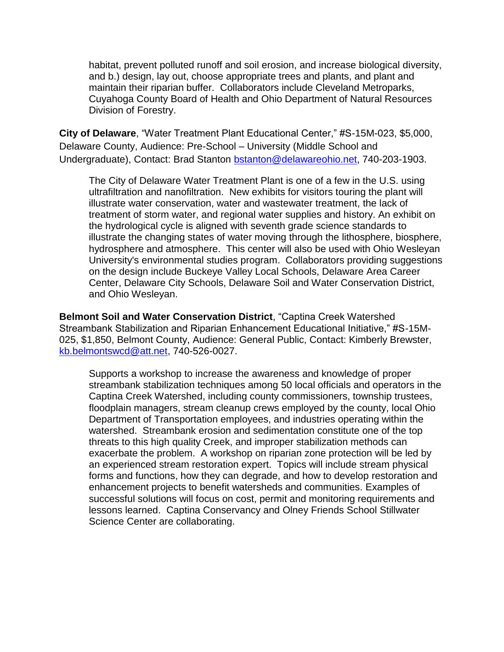habitat, prevent polluted runoff and soil erosion, and increase biological diversity, and b.) design, lay out, choose appropriate trees and plants, and plant and maintain their riparian buffer. Collaborators include Cleveland Metroparks, Cuyahoga County Board of Health and Ohio Department of Natural Resources Division of Forestry.

**City of Delaware**, "Water Treatment Plant Educational Center," #S-15M-023, \$5,000, Delaware County, Audience: Pre-School – University (Middle School and Undergraduate), Contact: Brad Stanton [bstanton@delawareohio.net,](mailto:bstanton@delawareohio.net) 740-203-1903.

The City of Delaware Water Treatment Plant is one of a few in the U.S. using ultrafiltration and nanofiltration. New exhibits for visitors touring the plant will illustrate water conservation, water and wastewater treatment, the lack of treatment of storm water, and regional water supplies and history. An exhibit on the hydrological cycle is aligned with seventh grade science standards to illustrate the changing states of water moving through the lithosphere, biosphere, hydrosphere and atmosphere. This center will also be used with Ohio Wesleyan University's environmental studies program. Collaborators providing suggestions on the design include Buckeye Valley Local Schools, Delaware Area Career Center, Delaware City Schools, Delaware Soil and Water Conservation District, and Ohio Wesleyan.

**Belmont Soil and Water Conservation District**, "Captina Creek Watershed Streambank Stabilization and Riparian Enhancement Educational Initiative," #S-15M-025, \$1,850, Belmont County, Audience: General Public, Contact: Kimberly Brewster, [kb.belmontswcd@att.net,](mailto:kb.belmontswcd@att.net) 740-526-0027.

Supports a workshop to increase the awareness and knowledge of proper streambank stabilization techniques among 50 local officials and operators in the Captina Creek Watershed, including county commissioners, township trustees, floodplain managers, stream cleanup crews employed by the county, local Ohio Department of Transportation employees, and industries operating within the watershed. Streambank erosion and sedimentation constitute one of the top threats to this high quality Creek, and improper stabilization methods can exacerbate the problem. A workshop on riparian zone protection will be led by an experienced stream restoration expert. Topics will include stream physical forms and functions, how they can degrade, and how to develop restoration and enhancement projects to benefit watersheds and communities. Examples of successful solutions will focus on cost, permit and monitoring requirements and lessons learned. Captina Conservancy and Olney Friends School Stillwater Science Center are collaborating.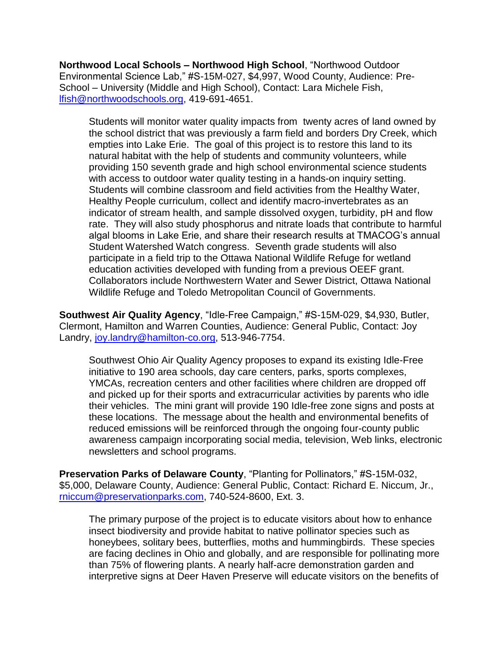**Northwood Local Schools – Northwood High School**, "Northwood Outdoor Environmental Science Lab," #S-15M-027, \$4,997, Wood County, Audience: Pre-School – University (Middle and High School), Contact: Lara Michele Fish, [lfish@northwoodschools.org,](mailto:lfish@northwoodschools.org) 419-691-4651.

Students will monitor water quality impacts from twenty acres of land owned by the school district that was previously a farm field and borders Dry Creek, which empties into Lake Erie. The goal of this project is to restore this land to its natural habitat with the help of students and community volunteers, while providing 150 seventh grade and high school environmental science students with access to outdoor water quality testing in a hands-on inquiry setting. Students will combine classroom and field activities from the Healthy Water, Healthy People curriculum, collect and identify macro-invertebrates as an indicator of stream health, and sample dissolved oxygen, turbidity, pH and flow rate. They will also study phosphorus and nitrate loads that contribute to harmful algal blooms in Lake Erie, and share their research results at TMACOG's annual Student Watershed Watch congress. Seventh grade students will also participate in a field trip to the Ottawa National Wildlife Refuge for wetland education activities developed with funding from a previous OEEF grant. Collaborators include Northwestern Water and Sewer District, Ottawa National Wildlife Refuge and Toledo Metropolitan Council of Governments.

**Southwest Air Quality Agency**, "Idle-Free Campaign," #S-15M-029, \$4,930, Butler, Clermont, Hamilton and Warren Counties, Audience: General Public, Contact: Joy Landry, [joy.landry@hamilton-co.org,](mailto:joy.landry@hamilton-co.org) 513-946-7754.

Southwest Ohio Air Quality Agency proposes to expand its existing Idle-Free initiative to 190 area schools, day care centers, parks, sports complexes, YMCAs, recreation centers and other facilities where children are dropped off and picked up for their sports and extracurricular activities by parents who idle their vehicles. The mini grant will provide 190 Idle-free zone signs and posts at these locations. The message about the health and environmental benefits of reduced emissions will be reinforced through the ongoing four-county public awareness campaign incorporating social media, television, Web links, electronic newsletters and school programs.

**Preservation Parks of Delaware County**, "Planting for Pollinators," #S-15M-032, \$5,000, Delaware County, Audience: General Public, Contact: Richard E. Niccum, Jr., [rniccum@preservationparks.com,](mailto:rniccum@preservationparks.com) 740-524-8600, Ext. 3.

The primary purpose of the project is to educate visitors about how to enhance insect biodiversity and provide habitat to native pollinator species such as honeybees, solitary bees, butterflies, moths and hummingbirds. These species are facing declines in Ohio and globally, and are responsible for pollinating more than 75% of flowering plants. A nearly half-acre demonstration garden and interpretive signs at Deer Haven Preserve will educate visitors on the benefits of